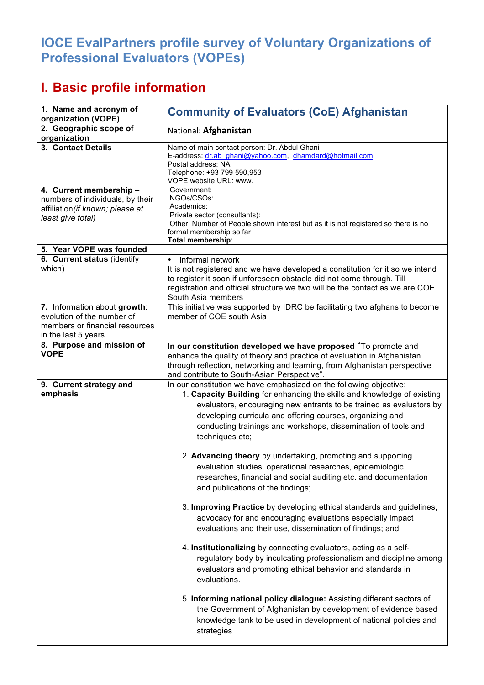## **IOCE EvalPartners profile survey of Voluntary Organizations of Professional Evaluators (VOPEs)**

## **I. Basic profile information**

| 1. Name and acronym of<br>organization (VOPE)                                                                        | <b>Community of Evaluators (CoE) Afghanistan</b>                                                                                                                                                                                                                                                                                                                                                                                                                                                                                                                                                                                                                                      |
|----------------------------------------------------------------------------------------------------------------------|---------------------------------------------------------------------------------------------------------------------------------------------------------------------------------------------------------------------------------------------------------------------------------------------------------------------------------------------------------------------------------------------------------------------------------------------------------------------------------------------------------------------------------------------------------------------------------------------------------------------------------------------------------------------------------------|
| 2. Geographic scope of<br>organization                                                                               | National: Afghanistan                                                                                                                                                                                                                                                                                                                                                                                                                                                                                                                                                                                                                                                                 |
| 3. Contact Details                                                                                                   | Name of main contact person: Dr. Abdul Ghani<br>E-address: dr.ab ghani@yahoo.com, dhamdard@hotmail.com<br>Postal address: NA<br>Telephone: +93 799 590,953<br>VOPE website URL: www.                                                                                                                                                                                                                                                                                                                                                                                                                                                                                                  |
| 4. Current membership -<br>numbers of individuals, by their<br>affiliation (if known; please at<br>least give total) | Government:<br>NGOs/CSOs:<br>Academics:<br>Private sector (consultants):<br>Other: Number of People shown interest but as it is not registered so there is no<br>formal membership so far<br>Total membership:                                                                                                                                                                                                                                                                                                                                                                                                                                                                        |
| 5. Year VOPE was founded                                                                                             |                                                                                                                                                                                                                                                                                                                                                                                                                                                                                                                                                                                                                                                                                       |
| 6. Current status (identify<br>which)                                                                                | Informal network<br>$\bullet$<br>It is not registered and we have developed a constitution for it so we intend<br>to register it soon if unforeseen obstacle did not come through. Till<br>registration and official structure we two will be the contact as we are COE<br>South Asia members                                                                                                                                                                                                                                                                                                                                                                                         |
| 7. Information about growth:<br>evolution of the number of<br>members or financial resources<br>in the last 5 years. | This initiative was supported by IDRC be facilitating two afghans to become<br>member of COE south Asia                                                                                                                                                                                                                                                                                                                                                                                                                                                                                                                                                                               |
| 8. Purpose and mission of<br><b>VOPE</b>                                                                             | In our constitution developed we have proposed "To promote and<br>enhance the quality of theory and practice of evaluation in Afghanistan<br>through reflection, networking and learning, from Afghanistan perspective<br>and contribute to South-Asian Perspective".                                                                                                                                                                                                                                                                                                                                                                                                                 |
| 9. Current strategy and<br>emphasis                                                                                  | In our constitution we have emphasized on the following objective:<br>1. Capacity Building for enhancing the skills and knowledge of existing<br>evaluators, encouraging new entrants to be trained as evaluators by<br>developing curricula and offering courses, organizing and<br>conducting trainings and workshops, dissemination of tools and<br>techniques etc;<br>2. Advancing theory by undertaking, promoting and supporting<br>evaluation studies, operational researches, epidemiologic<br>researches, financial and social auditing etc. and documentation<br>and publications of the findings;<br>3. Improving Practice by developing ethical standards and guidelines, |
|                                                                                                                      | advocacy for and encouraging evaluations especially impact<br>evaluations and their use, dissemination of findings; and<br>4. Institutionalizing by connecting evaluators, acting as a self-<br>regulatory body by inculcating professionalism and discipline among<br>evaluators and promoting ethical behavior and standards in<br>evaluations.<br>5. Informing national policy dialogue: Assisting different sectors of<br>the Government of Afghanistan by development of evidence based<br>knowledge tank to be used in development of national policies and<br>strategies                                                                                                       |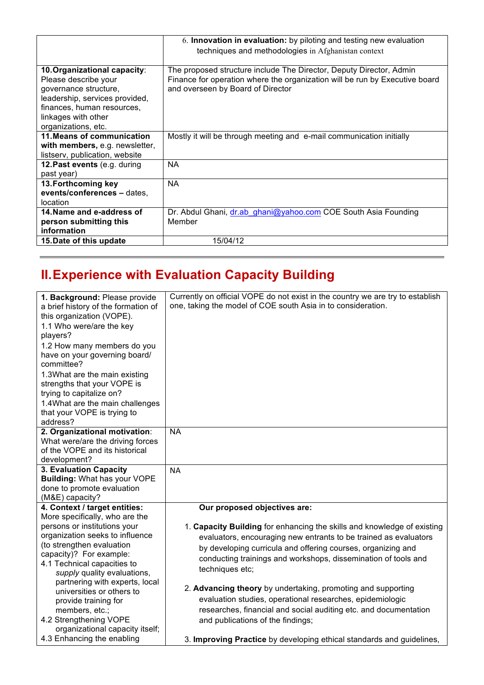|                                | 6. Innovation in evaluation: by piloting and testing new evaluation         |
|--------------------------------|-----------------------------------------------------------------------------|
|                                | techniques and methodologies in Afghanistan context                         |
|                                |                                                                             |
| 10. Organizational capacity:   | The proposed structure include The Director, Deputy Director, Admin         |
| Please describe your           | Finance for operation where the organization will be run by Executive board |
| governance structure,          | and overseen by Board of Director                                           |
| leadership, services provided, |                                                                             |
| finances, human resources,     |                                                                             |
| linkages with other            |                                                                             |
| organizations, etc.            |                                                                             |
| 11. Means of communication     | Mostly it will be through meeting and e-mail communication initially        |
| with members, e.g. newsletter, |                                                                             |
| listserv, publication, website |                                                                             |
| 12. Past events (e.g. during   | NA                                                                          |
| past year)                     |                                                                             |
| 13. Forthcoming key            | <b>NA</b>                                                                   |
| events/conferences - dates,    |                                                                             |
| location                       |                                                                             |
| 14. Name and e-address of      | Dr. Abdul Ghani, dr.ab ghani@yahoo.com COE South Asia Founding              |
| person submitting this         | Member                                                                      |
| information                    |                                                                             |
| 15. Date of this update        | 15/04/12                                                                    |

## **II.Experience with Evaluation Capacity Building**

| 1. Background: Please provide<br>a brief history of the formation of<br>this organization (VOPE).<br>1.1 Who were/are the key<br>players?<br>1.2 How many members do you<br>have on your governing board/<br>committee?<br>1.3What are the main existing<br>strengths that your VOPE is<br>trying to capitalize on?<br>1.4 What are the main challenges<br>that your VOPE is trying to<br>address? | Currently on official VOPE do not exist in the country we are try to establish<br>one, taking the model of COE south Asia in to consideration.                                                                                                                                                                                   |
|----------------------------------------------------------------------------------------------------------------------------------------------------------------------------------------------------------------------------------------------------------------------------------------------------------------------------------------------------------------------------------------------------|----------------------------------------------------------------------------------------------------------------------------------------------------------------------------------------------------------------------------------------------------------------------------------------------------------------------------------|
| 2. Organizational motivation:<br>What were/are the driving forces<br>of the VOPE and its historical<br>development?                                                                                                                                                                                                                                                                                | <b>NA</b>                                                                                                                                                                                                                                                                                                                        |
| 3. Evaluation Capacity<br><b>Building: What has your VOPE</b><br>done to promote evaluation<br>(M&E) capacity?                                                                                                                                                                                                                                                                                     | <b>NA</b>                                                                                                                                                                                                                                                                                                                        |
| 4. Context / target entities:<br>More specifically, who are the<br>persons or institutions your<br>organization seeks to influence<br>(to strengthen evaluation<br>capacity)? For example:<br>4.1 Technical capacities to<br>supply quality evaluations,<br>partnering with experts, local                                                                                                         | Our proposed objectives are:<br>1. Capacity Building for enhancing the skills and knowledge of existing<br>evaluators, encouraging new entrants to be trained as evaluators<br>by developing curricula and offering courses, organizing and<br>conducting trainings and workshops, dissemination of tools and<br>techniques etc; |
| universities or others to<br>provide training for<br>members, etc.;<br>4.2 Strengthening VOPE<br>organizational capacity itself;<br>4.3 Enhancing the enabling                                                                                                                                                                                                                                     | 2. Advancing theory by undertaking, promoting and supporting<br>evaluation studies, operational researches, epidemiologic<br>researches, financial and social auditing etc. and documentation<br>and publications of the findings;<br>3. Improving Practice by developing ethical standards and guidelines,                      |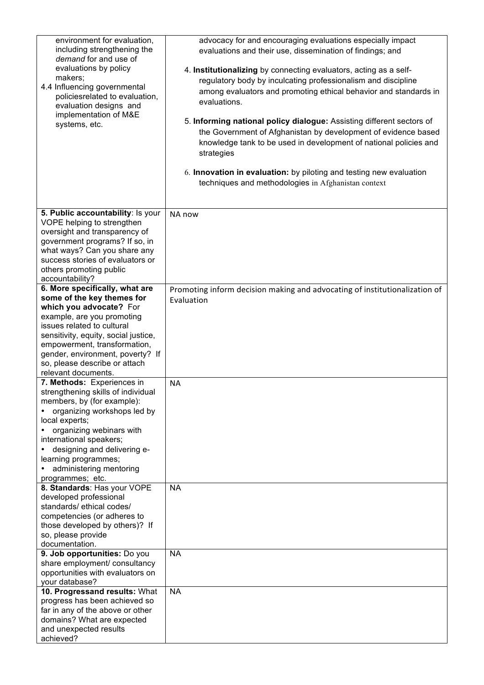| environment for evaluation,<br>including strengthening the<br>demand for and use of<br>evaluations by policy<br>makers:<br>4.4 Influencing governmental<br>policiesrelated to evaluation,<br>evaluation designs and<br>implementation of M&E<br>systems, etc.                                                                                                                                                                                            | advocacy for and encouraging evaluations especially impact<br>evaluations and their use, dissemination of findings; and<br>4. Institutionalizing by connecting evaluators, acting as a self-<br>regulatory body by inculcating professionalism and discipline<br>among evaluators and promoting ethical behavior and standards in<br>evaluations.<br>5. Informing national policy dialogue: Assisting different sectors of<br>the Government of Afghanistan by development of evidence based<br>knowledge tank to be used in development of national policies and<br>strategies<br>6. Innovation in evaluation: by piloting and testing new evaluation<br>techniques and methodologies in Afghanistan context |
|----------------------------------------------------------------------------------------------------------------------------------------------------------------------------------------------------------------------------------------------------------------------------------------------------------------------------------------------------------------------------------------------------------------------------------------------------------|---------------------------------------------------------------------------------------------------------------------------------------------------------------------------------------------------------------------------------------------------------------------------------------------------------------------------------------------------------------------------------------------------------------------------------------------------------------------------------------------------------------------------------------------------------------------------------------------------------------------------------------------------------------------------------------------------------------|
| 5. Public accountability: Is your<br>VOPE helping to strengthen<br>oversight and transparency of<br>government programs? If so, in<br>what ways? Can you share any<br>success stories of evaluators or<br>others promoting public<br>accountability?                                                                                                                                                                                                     | NA now                                                                                                                                                                                                                                                                                                                                                                                                                                                                                                                                                                                                                                                                                                        |
| 6. More specifically, what are<br>some of the key themes for<br>which you advocate? For<br>example, are you promoting<br>issues related to cultural<br>sensitivity, equity, social justice,<br>empowerment, transformation,<br>gender, environment, poverty? If<br>so, please describe or attach<br>relevant documents.<br>7. Methods: Experiences in<br>strengthening skills of individual<br>members, by (for example):<br>organizing workshops led by | Promoting inform decision making and advocating of institutionalization of<br>Evaluation<br><b>NA</b>                                                                                                                                                                                                                                                                                                                                                                                                                                                                                                                                                                                                         |
| local experts;<br>organizing webinars with<br>international speakers;<br>designing and delivering e-<br>learning programmes;<br>administering mentoring<br>$\bullet$<br>programmes; etc.                                                                                                                                                                                                                                                                 |                                                                                                                                                                                                                                                                                                                                                                                                                                                                                                                                                                                                                                                                                                               |
| 8. Standards: Has your VOPE<br>developed professional<br>standards/ethical codes/<br>competencies (or adheres to<br>those developed by others)? If<br>so, please provide<br>documentation.                                                                                                                                                                                                                                                               | <b>NA</b>                                                                                                                                                                                                                                                                                                                                                                                                                                                                                                                                                                                                                                                                                                     |
| 9. Job opportunities: Do you<br>share employment/ consultancy<br>opportunities with evaluators on<br>your database?                                                                                                                                                                                                                                                                                                                                      | <b>NA</b>                                                                                                                                                                                                                                                                                                                                                                                                                                                                                                                                                                                                                                                                                                     |
| 10. Progressand results: What<br>progress has been achieved so<br>far in any of the above or other<br>domains? What are expected<br>and unexpected results<br>achieved?                                                                                                                                                                                                                                                                                  | <b>NA</b>                                                                                                                                                                                                                                                                                                                                                                                                                                                                                                                                                                                                                                                                                                     |